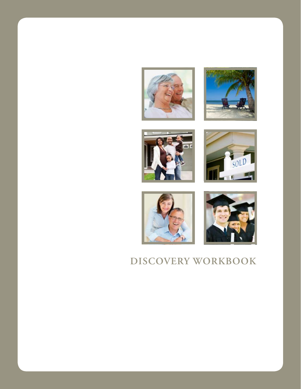











# **DISCOVERY WORKBOOK**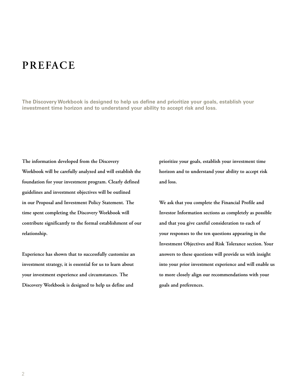## **PREFACE**

**The Discovery Workbook is designed to help us define and prioritize your goals, establish your investment time horizon and to understand your ability to accept risk and loss.**

**The information developed from the Discovery Workbook will be carefully analyzed and will establish the foundation for your investment program. Clearly defined guidelines and investment objectives will be outlined in our Proposal and Investment Policy Statement. The time spent completing the Discovery Workbook will contribute significantly to the formal establishment of our relationship.** 

**Experience has shown that to successfully customize an investment strategy, it is essential for us to learn about your investment experience and circumstances. The Discovery Workbook is designed to help us define and** 

**prioritize your goals, establish your investment time horizon and to understand your ability to accept risk and loss.**

**We ask that you complete the Financial Profile and Investor Information sections as completely as possible and that you give careful consideration to each of your responses to the ten questions appearing in the Investment Objectives and Risk Tolerance section. Your answers to these questions will provide us with insight into your prior investment experience and will enable us to more closely align our recommendations with your goals and preferences.**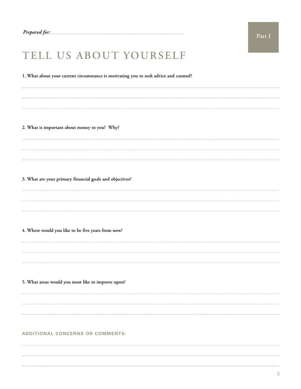## **TELL US ABOUT YOURSELF**

**1. What about your current circumstance is motivating you to seek advice and counsel?** 

**2. What is important about money to you? Why?**

**3. What are your primary financial goals and objectives?**

**4. Where would you like to be five years from now?**

**5. What areas would you most like to improve upon?**

#### **ADDITIONAL CONCERNS OR COMMENTS:**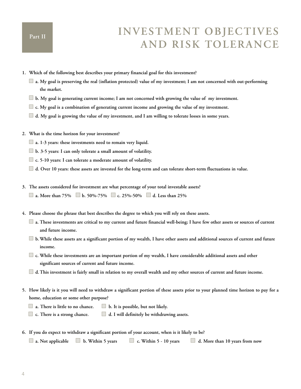# **INVESTMENT OBJECTIVES AND RISK TOLERANCE**

- **1. Which of the following best describes your primary financial goal for this investment?**
	- **a. My goal is preserving the real (inflation protected) value of my investment; I am not concerned with out-performing the market.**
	- **b. My goal is generating current income; I am not concerned with growing the value of my investment.**
	- **c. My goal is a combination of generating current income and growing the value of my investment.**
	- **d. My goal is growing the value of my investment, and I am willing to tolerate losses in some years.**
- **2. What is the time horizon for your investment?**
	- **a. 1-3 years: these investments need to remain very liquid.**
	- **b. 3-5 years: I can only tolerate a small amount of volatility.**
	- **c. 5-10 years: I can tolerate a moderate amount of volatility.**
	- **d. Over 10 years: these assets are invested for the long-term and can tolerate short-term fluctuations in value.**
- **3. The assets considered for investment are what percentage of your total investable assets?**
	- **a. More than 75% b. 50%-75% c. 25%-50% d. Less than 25%**
- **4. Please choose the phrase that best describes the degree to which you will rely on these assets.**
	- **a. These investments are critical to my current and future financial well-being; I have few other assets or sources of current and future income.**
	- **b.While these assets are a significant portion of my wealth, I have other assets and additional sources of current and future income.**
	- **c. While these investments are an important portion of my wealth, I have considerable additional assets and other significant sources of current and future income.**
	- **d.This investment is fairly small in relation to my overall wealth and my other sources of current and future income.**
- **5. How likely is it you will need to withdraw a significant portion of these assets prior to your planned time horizon to pay for a home, education or some other purpose?**
	- **a. There is little to no chance. b. It is possible, but not likely.**
	- **c. There is a strong chance. d. I will definitely be withdrawing assets.**
- **6. If you do expect to withdraw a significant portion of your account, when is it likely to be?**

```
a. Not applicable b. Within 5 years c. Within 5 - 10 years d. More than 10 years from now
```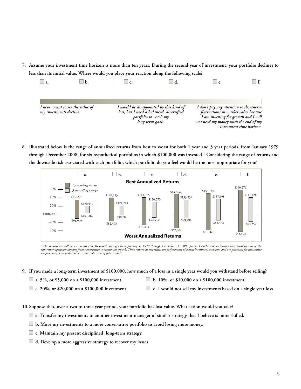**7. Assume your investment time horizon is more than ten years. During the second year of investment, your portfolio declines to less than its initial value. Where would you place your reaction along the following scale?**

| — а.                    |                                  | c. |                                                                                                                                  | e.                                                                                                                                                               |                          |
|-------------------------|----------------------------------|----|----------------------------------------------------------------------------------------------------------------------------------|------------------------------------------------------------------------------------------------------------------------------------------------------------------|--------------------------|
|                         |                                  |    |                                                                                                                                  |                                                                                                                                                                  |                          |
| my investments decline. | I never want to see the value of |    | I would be disappointed by this kind of<br>loss, but I need a balanced, diversified<br>portfolio to reach my<br>long-term goals. | I don't pay any attention to short-term<br>fluctuations in market value because<br>I am investing for growth and I will<br>not need my money until the end of my | investment time horizon. |

**8. Illustrated below is the range of annualized returns from best to worst for both 1 year and 3 year periods, from January 1979 through December 2008, for six hypothetical portfolios in which \$100,000 was invested.1 Considering the range of returns and the downside risk associated with each portfolio, which portfolio do you feel would be the most appropriate for you?**



*1The returns are rolling 12 month and 36 month averages from January 1, 1979 through December 31, 2008 for six hypothetical multi-asset class portfolios along the* risk-return spectrum ranging from conservative to maximum growth. These returns do not reflect the performance of actual investment accounts, and are presented for illustrative<br>purposes only. Past performance is not indica

- **9. If you made a long-term investment of \$100,000, how much of a loss in a single year would you withstand before selling?** 
	-
	- **a.** 5%, or \$5,000 on a \$100,000 investment. **b.** 10%, or \$10,000 on a \$100,000 investment.
	-
- 
- **c. 20%, or \$20,000 on a \$100,000 investment. d. I would not sell my investments based on a single year loss.**
- **10. Suppose that, over a two to three year period, your portfolio has lost value. What action would you take?**
	- **a. Transfer my investments to another investment manager of similar strategy that I believe is more skilled.**
	- **b. Move my investments to a more conservative portfolio to avoid losing more money.**
	- **c. Maintain my present disciplined, long-term strategy.**
	- **d. Develop a more aggressive strategy to recover my losses.**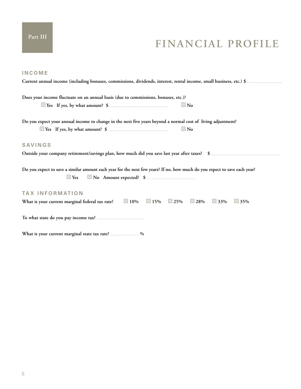## **FINANCIAL PROFILE**

| <b>INCOME</b>                                                                                                                           |
|-----------------------------------------------------------------------------------------------------------------------------------------|
|                                                                                                                                         |
|                                                                                                                                         |
| Does your income fluctuate on an annual basis (due to commissions, bonuses, etc.)?                                                      |
| $\Box$ No                                                                                                                               |
| Do you expect your annual income to change in the next five years beyond a normal cost of living adjustment?                            |
| $\Box$ No                                                                                                                               |
| <b>SAVINGS</b>                                                                                                                          |
|                                                                                                                                         |
| Do you expect to save a similar amount each year for the next few years? If no, how much do you expect to save each year?<br>$\Box$ Yes |
| <b>TAX INFORMATION</b>                                                                                                                  |
| What is your current marginal federal tax rate? $\Box$ 10% $\Box$ 15% $\Box$ 25% $\Box$ 28% $\Box$ 33%<br>$\Box$ 35%                    |
|                                                                                                                                         |
| What is your current marginal state tax rate? %                                                                                         |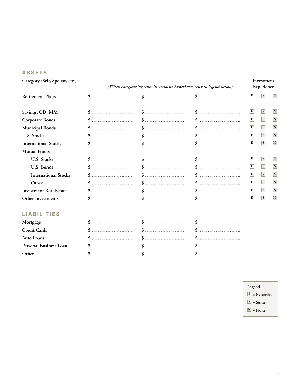#### **ASSETS**

| Category (Self, Spouse, etc.) |  | (When categorizing your Investment Experience refer to legend below) |  |   | Investment<br>Experience |                         |  |
|-------------------------------|--|----------------------------------------------------------------------|--|---|--------------------------|-------------------------|--|
| <b>Retirement Plans</b>       |  |                                                                      |  | E | S                        | $\mathbf N$             |  |
| Savings, CD, MM               |  |                                                                      |  | E | $\vert S \vert$          | IN.                     |  |
| <b>Corporate Bonds</b>        |  |                                                                      |  | E | <sub>S</sub>             | $\mathbf N$             |  |
| Municipal Bonds               |  |                                                                      |  | E | <sub>S</sub>             | $\overline{\mathbf{N}}$ |  |
| <b>U.S. Stocks</b>            |  |                                                                      |  | E | S                        | $\mathbf N$             |  |
| <b>International Stocks</b>   |  |                                                                      |  | E | S                        | $\mathbf N$             |  |
| <b>Mutual Funds</b>           |  |                                                                      |  |   |                          |                         |  |
| <b>U.S. Stocks</b>            |  |                                                                      |  | E | S                        | $\mathbf N$             |  |
| U.S. Bonds                    |  |                                                                      |  | E | $\overline{s}$           | N                       |  |
| <b>International Stocks</b>   |  |                                                                      |  | E | $\overline{s}$           | $\overline{\mathbf{N}}$ |  |
| Other                         |  |                                                                      |  | E | $\overline{\mathbf{s}}$  | N                       |  |
| <b>Investment Real Estate</b> |  |                                                                      |  | E | S                        | $\vert N \vert$         |  |
| Other Investments             |  |                                                                      |  | E | $\overline{s}$           | N                       |  |
| ΕS                            |  |                                                                      |  |   |                          |                         |  |
| Mortgage                      |  |                                                                      |  |   |                          |                         |  |

- **Legend**
- **E = Extensive**
- $\boxed{S}$  = Some
- **N = None**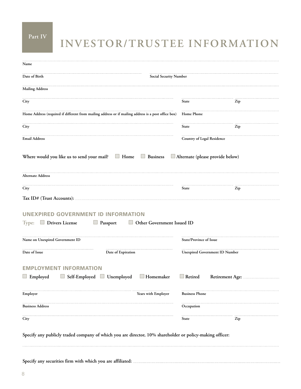**Part IV**

# **INVESTOR/TRUSTEE INFORMATION**

| Name                                                                                                                     |                            |                                       |  |
|--------------------------------------------------------------------------------------------------------------------------|----------------------------|---------------------------------------|--|
| Date of Birth<br><b>Social Security Number</b>                                                                           |                            |                                       |  |
| <b>Mailing Address</b>                                                                                                   |                            |                                       |  |
| City                                                                                                                     | State                      | Zip                                   |  |
| Home Address (required if different from mailing address or if mailing address is a post office box)                     | Home Phone                 |                                       |  |
| City                                                                                                                     | State                      | Zip                                   |  |
| <b>Email Address</b>                                                                                                     | Country of Legal Residence |                                       |  |
| Where would you like us to send your mail? If Home Business Alternate (please provide below)                             |                            |                                       |  |
| <b>Alternate Address</b>                                                                                                 |                            |                                       |  |
| City                                                                                                                     | <b>State</b>               | Zip                                   |  |
|                                                                                                                          |                            |                                       |  |
| UNEXPIRED GOVERNMENT ID INFORMATION<br><b>Type:</b> $\Box$ Drivers License $\Box$ Passport<br>Other Government Issued ID |                            |                                       |  |
| Name on Unexpired Government ID                                                                                          | State/Province of Issue    |                                       |  |
| Date of Issue<br>Date of Expiration                                                                                      |                            | <b>Unexpired Government ID Number</b> |  |
| <b>EMPLOYMENT INFORMATION</b><br>■ Employed ■ Self-Employed ■ Unemployed<br>$\Box$ Homemaker                             | Retired                    | Retirement Age:                       |  |
| Years with Employer<br>Employer                                                                                          | <b>Business Phone</b>      |                                       |  |
| <b>Business Address</b>                                                                                                  | Occupation                 |                                       |  |
| City                                                                                                                     | State                      | Zip                                   |  |
|                                                                                                                          |                            |                                       |  |

**Specify any publicly traded company of which you are director, 10% shareholder or policy-making officer:**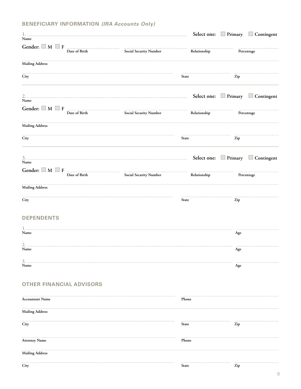### **BENEFICIARY INFORMATION (IRA Accounts Only)**

| Name                   |                                 |                            |              | Select one: Primary Contingent |
|------------------------|---------------------------------|----------------------------|--------------|--------------------------------|
|                        |                                 |                            |              |                                |
|                        | Date of Birth                   | Social Security Number     | Relationship | Percentage                     |
| Mailing Address        |                                 |                            |              |                                |
| City                   |                                 |                            | State        | Zip                            |
|                        |                                 |                            |              |                                |
|                        |                                 |                            |              | Select one: Primary Contingent |
| Name                   |                                 |                            |              |                                |
|                        | Date of Birth                   | <br>Social Security Number | Relationship | Percentage                     |
| Mailing Address        |                                 |                            |              |                                |
| City                   |                                 |                            | State        | Zip                            |
|                        |                                 |                            |              |                                |
|                        |                                 |                            |              | Select one: Primary Contingent |
| Name                   |                                 |                            |              |                                |
|                        | Date of Birth                   | <br>Social Security Number | Relationship | Percentage                     |
| <b>Mailing Address</b> |                                 |                            |              |                                |
| City                   |                                 |                            | State        | Zip                            |
|                        |                                 |                            |              |                                |
| <b>DEPENDENTS</b>      |                                 |                            |              |                                |
|                        |                                 |                            |              |                                |
| Name                   |                                 |                            |              | Age                            |
| 2.<br>Name             |                                 |                            |              | Age                            |
| s.                     |                                 |                            |              |                                |
| Name                   |                                 |                            |              | Age                            |
|                        |                                 |                            |              |                                |
|                        | <b>OTHER FINANCIAL ADVISORS</b> |                            |              |                                |
| <b>Accountant Name</b> |                                 |                            | Phone        |                                |
| <b>Mailing Address</b> |                                 |                            |              |                                |
| City                   |                                 |                            | State        | Zip                            |
|                        |                                 |                            |              |                                |
| <b>Attorney Name</b>   |                                 |                            | Phone        |                                |
| <b>Mailing Address</b> |                                 |                            |              |                                |
| City                   |                                 |                            | State        | Zip                            |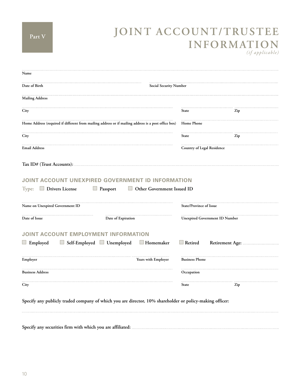# **JOINT ACCOUNT/TRUSTEE INFORMATION**

*(if applicable)*

| Name                                                                                                                |                                                                                                      |                            |                                       |
|---------------------------------------------------------------------------------------------------------------------|------------------------------------------------------------------------------------------------------|----------------------------|---------------------------------------|
| Date of Birth                                                                                                       | Social Security Number                                                                               |                            |                                       |
| <b>Mailing Address</b>                                                                                              |                                                                                                      |                            |                                       |
| City                                                                                                                |                                                                                                      | <b>State</b>               | Zip                                   |
|                                                                                                                     | Home Address (required if different from mailing address or if mailing address is a post office box) | Home Phone                 |                                       |
| City                                                                                                                |                                                                                                      | State                      | Zip                                   |
| <b>Email Address</b>                                                                                                |                                                                                                      | Country of Legal Residence |                                       |
|                                                                                                                     |                                                                                                      |                            |                                       |
|                                                                                                                     | JOINT ACCOUNT UNEXPIRED GOVERNMENT ID INFORMATION                                                    |                            |                                       |
| $\Box$ Drivers License                                                                                              | $\Box$ Passport<br>Other Government Issued ID                                                        | State/Province of Issue    |                                       |
|                                                                                                                     | Date of Expiration                                                                                   |                            | <b>Unexpired Government ID Number</b> |
|                                                                                                                     | JOINT ACCOUNT EMPLOYMENT INFORMATION                                                                 |                            |                                       |
|                                                                                                                     | Self-Employed Unemployed<br>Homemaker                                                                | $\Box$ Retired             |                                       |
|                                                                                                                     | Years with Employer                                                                                  | <b>Business Phone</b>      |                                       |
| Type:<br>Name on Unexpired Government ID<br>Date of Issue<br>$\Box$ Employed<br>Employer<br><b>Business Address</b> |                                                                                                      | Occupation                 |                                       |

**Specify any securities firm with which you are affiliated:**